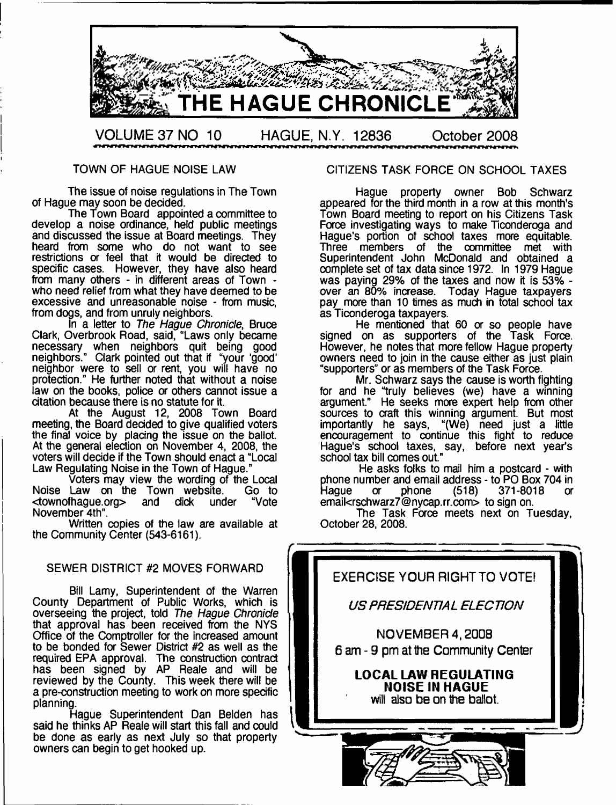

### TOWN OF HAGUE NOISE LAW

The issue of noise regulations in The Town of Hague may soon be decided.

The Town Board appointed a committee to develop a noise ordinance, held public meetings and discussed the issue at Board meetings. They heard from some who do not want to see restrictions or feel that it would be directed to specific cases. However, they have also heard from many others - in different areas of Town who need relief from what they have deemed to be excessive and unreasonable noise - from music, from dogs, and from unruly neighbors.

In a letter to *The Hague Chronicle,* Bruce Clark, Overbrook Road, said, "Laws only became necessary when neighbors quit being good neighbors." Clark pointed out that if "your 'good' neighbor were to sell or rent, you will have no protection." He further noted that without a noise law on the books, police or others cannot issue a citation because there is no statute for it.

At the August 12, 2008 Town Board meeting, the Board decided to give qualified voters the final voice by placing the issue on the ballot. At the general election on November 4, 2008, the voters will decide if the Town should enact a "Local Law Regulating Noise in the Town of Hague."

Voters may view the wording of the Local Noise Law on the Town website. <townofhague.org> and dick under "Vote November 4th".

Written copies of the law are available at the Community Center (543-6161).

### SEWER DISTRICT #2 MOVES FORWARD

Bill Lamy, Superintendent of the Warren County Department of Public Works, which is overseeing the project, told *The Hague Chronicle* that approval has been received from the NYS Office of the Comptroller for the increased amount to be bonded for Sewer District #2 as well as the required EPA approval. The construction contract has been signed by AP Reale and will be reviewed by the County. This week there will be a pre-construction meeting to work on more specific planning.

Hague Superintendent Dan Belden has said he thinks AP Reale will start this fall and could be done as early as next July so that property owners can begin to get hooked up.

### CITIZENS TASK FORCE ON SCHOOL TAXES

Hague property owner Bob Schwarz appeared for the third month in a row at this month's Town Board meeting to report on his Citizens Task Force investigating ways to make Ticonderoga and Hague's portion of school taxes more equitable. Three members of the committee met with Superintendent John McDonald and obtained a complete set of tax data since 1972. In 1979 Hague was paying 29% of the taxes and now it is 53% over an 80% increase. Today Hague taxpayers pay more than 10 times as much in total school tax as Ticonderoga taxpayers.

He mentioned that 60 or so people have signed on as supporters of the Task Force. However, he notes that more fellow Hague property owners need to join in the cause either as just plain "supporters" or as members of the Task Force.

Mr. Schwarz says the cause is worth fighting for and he "truly believes (we) have a winning argument." He seeks more expert help from other sources to craft this winning argument. But most importantly he says, "(We) need just a little encouragement to continue this fight to reduce Hague's school taxes, say, before next year's school tax bill comes out."

He asks folks to mail him a postcard - with phone number and email address - to PO Box 704 in<br>Hague or phone (518) 371-8018 or 371-8018 email[<rschwarz7@nycap.rr.com](mailto:rschwarz7@nycap.rr.com)> to sign on.

The Task Force meets next on Tuesday, October 28, 2008.

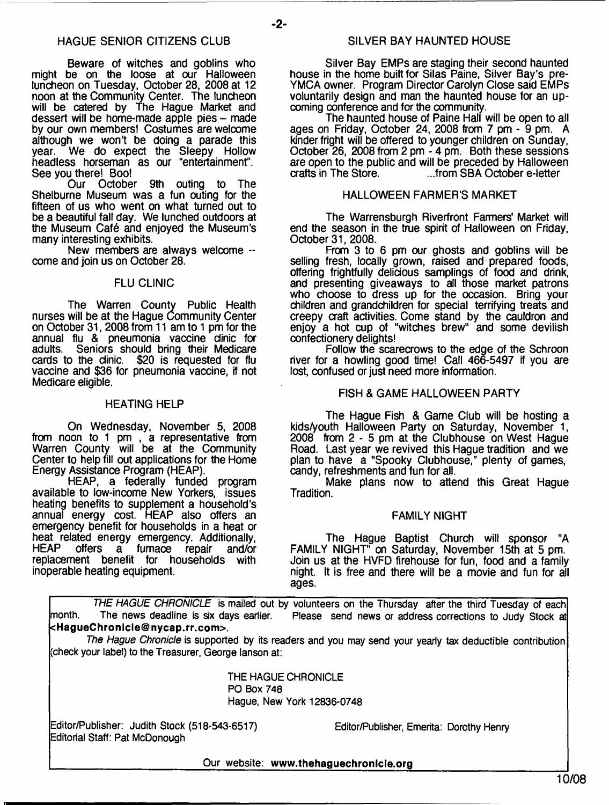$-2-$ 

Beware of witches and goblins who might be on the loose at our Halloween luncheon on Tuesday, October 28, 2008 at 12 noon at the Community Center. The luncheon will be catered by The Hague Market and dessert will be home-made apple pies – made by our own members! Costumes are welcome although we won't be doing a parade this year. We do expect the Sleepy Hollow headless horseman as our "entertainment". See you there! Boo!<br>Our Octobe

October 9th outing to The Shelburne Museum was a fun outing for the fifteen of us who went on what turned out to be a beautiful fall day. We lunched outdoors at the Museum Caf6 and enjoyed the Museum's many interesting exhibits.

New members are always welcome -come and join us on October 28.

### FLU CLINIC

The Warren County Public Health nurses will be at the Hague Community Center on October 31,2008 from 11 am to 1 pm for the annual flu & pneumonia vaccine dinic for<br>adults. Seniors should bring their Medicare Seniors should bring their Medicare cards to the clinic. \$20 is requested for flu vaccine and \$36 for pneumonia vaccine, if not Medicare eligible.

#### HEATING HELP

On Wednesday, November 5, 2008 from noon to 1 pm , a representative from Warren County will be at the Community Center to help fill out applications for the Home Energy Assistance Program (HEAP).

HEAP, a federally funded program available to low-income New Yorkers, issues heating benefits to supplement a household's annual energy cost. HEAP also offers an emergency benefit for households in a heat *or* heat related energy emergency. Additionally,<br>HEAP offers a furnace repair and/or furnace repair and/or<br>t for households with replacement benefit for households inoperable heating equipment.

Silver Bay EMPs are staging their second haunted house in the home built for Silas Paine, Silver Bay's pre-YMCA owner. Program Director Carolyn Close said EMPs voluntarily design and man the haunted house for an upcoming conference and for the community.

The haunted house of Paine Hall will be open to all ages on Friday, October 24, 2008 from 7 pm - 9 pm. A kinder fright will be offered to younger children on Sunday, October 26, 2008 from 2 pm - 4 pm. Both these sessions are open to the public and will be preceded by Halloween ...from SBA October e-letter

### HALLOWEEN FARMER'S MARKET

The Warrensburgh Riverfront Farmers' Market will end the season in the true spirit of Halloween on Friday, October 31, 2008.

From 3 to 6 pm our ghosts and goblins will be selling fresh, locally grown, raised and prepared foods, offering frightfully delicious samplings of food and drink, and presenting giveaways to all those market patrons who choose to dress up for the occasion. Bring your children and grandchildren for special terrifying treats and creepy craft activities. Come stand by the cauldron and enjoy a hot cup of "witches brew" and some devilish confectionery delights!

Follow the scarecrows to the edge of the Schroon river for a howling good time! Call 466-5497 if you are lost, confused or just need more information.

#### FISH & GAME HALLOWEEN PARTY

The Hague Fish & Game Club will be hosting a kids/youth Halloween Party on Saturday, November 1, 2008 from 2 - 5 pm at the Clubhouse on West Hague Road. Last year we revived this Hague tradition and we plan to have a "Spooky Clubhouse," plenty of games, candy, refreshments and fun for all.

Make plans now to attend this Great Hague Tradition.

### FAMILY NIGHT

The Hague Baptist Church will sponsor "A FAMILY NIGHT" on Saturday, November 15th at 5 pm. Join us at the HVFD firehouse for fun, food and a family night. It is free and there will be a movie and fun for all ages.

*THE HAGUE CHRONICLE* is mailed out by volunteers on the Thursday after the third Tuesday of each month. The news deadline is six days earlier. Please send news or address corrections to Judy Stock at **<[HagueChronicle@nycap.rr.com>](mailto:HagueChronicle@nycap.rr.com).**

*The Hague Chronicle* is supported by its readers and you may send your yearly tax deductible contribution (check your label) to the Treasurer, George lanson at:

> THE HAGUE CHRONICLE PO Box 748 Hague, New York 12836-0748

Editor/Publisher: Judith Stock (518-543-6517) Editor/Publisher, Emerita: Dorothy Henry Editorial Staff: Pat McDonough

Our website: www.thehaguechronlcle.org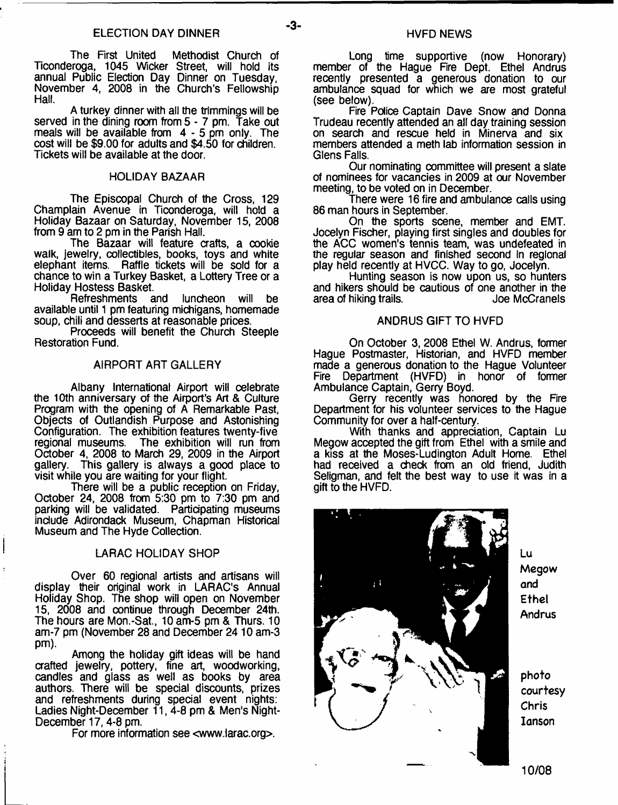The First United Methodist Church of Ticonderoga, 1045 Wicker Street, will hold its annual Public Election Day Dinner on Tuesday, November 4, 2008 in the Church's Fellowship Hall.

A turkey dinner with all the trimmings will be served in the dining room from 5 - 7 pm. Take out meals will be available from 4 - 5 pm only. The cost will be \$9.00 for adults and \$4.50 for children. Tickets will be available at the door.

#### HOLIDAY BAZAAR

The Episcopal Church of the Cross, 129 Champlain Avenue in Ticonderoga, will hold a Holiday Bazaar on Saturday, November 15, 2008 from 9 am to 2 pm in the Parish Hall.

The Bazaar will feature crafts, a cookie walk, jewelry, collectibles, books, toys and white elephant items. Raffle tickets will be sold for a chance to win a Turkey Basket, a Lottery Tree or a Holiday Hostess Basket.

Refreshments and luncheon will be available until 1 pm featuring michigans, homemade soup, chili and desserts at reasonable prices.

Proceeds will benefit the Church Steeple Restoration Fund.

### AIRPORT ART GALLERY

Albany International Airport will celebrate the 10th anniversary of the Airport's Art & Culture Program with the opening of A Remarkable Past, Objects of Outlandish Purpose and Astonishing Configuration. The exhibition features twenty-five The exhibition will run from October 4, 2008 to March 29, 2009 in the Airport This gallery is always a good place to visit while you are waiting for your flight.

There will be a public reception on Friday, October 24, 2008 from 5:30 pm to 7:30 pm and parking will be validated. Participating museums include Adirondack Museum, Chapman Historical Museum and The Hyde Collection.

### LARAC HOLIDAY SHOP

Over 60 regional artists and artisans will display their original work in LARAC's Annual Holiday Shop. The shop will open on November 15, 2008 and continue through December 24th. The hours are Mon.-Sat, 10 am-5 pm & Thurs. 10 am-7 pm (November 28 and December 2410 am-3 pm).

Among the holiday gift ideas will be hand crafted jewelry, pottery, fine art, woodworking, candles and glass as well as books by area authors. There will be special discounts, prizes and refreshments during special event nights: Ladies Night-December 11, 4-8 pm & Men's Night-December 17,4-8 pm.

For more information see [<www.larac.org](http://www.larac.org)>.

Long time supportive (now Honorary) member of the Hague Fire Dept. Ethel Andrus recently presented a generous donation to our ambulance squad for which we are most grateful (see below).

Fire Police Captain Dave Snow and Donna Trudeau recently attended an all day training session on search and rescue held in Minerva and six members attended a meth lab information session in Glens Falls.

Our nominating committee will present a slate of nominees for vacancies in 2009 at our November meeting, to be voted on in December.

There were 16 fire and ambulance calls using 86 man hours in September.

On the sports scene, member and EMT. Jocelyn Fischer, playing first singles and doubles for the ACC women's tennis team, was undefeated in the regular season and finished second in regional play held recently at HVCC. Way to go, Jocelyn.

Hunting season is now upon us, so hunters and hikers should be cautious of one another in the area of hiking trails.

### ANDRUS GIFT TO HVFD

On October 3,2008 Ethel W. Andrus, former Hague Postmaster, Historian, and HVFD member made a generous donation to the Hague Volunteer Fire Department (HVFD) in honor of former Ambulance Captain, Gerry Boyd.

Gerry recently was honored by the Fire Department for his volunteer services to the Hague Community for over a half-century.

With thanks and appreciation, Captain Lu Megow accepted the gift from Ethel with a smile and a kiss at the Moses-Ludington Adult Home. Ethel had received a check from an old friend, Judith Seligman, and felt the best way to use it was in a gift to the HVFD.



Lu Megow and Ethel Andrus

photo courtesy Chris Ianson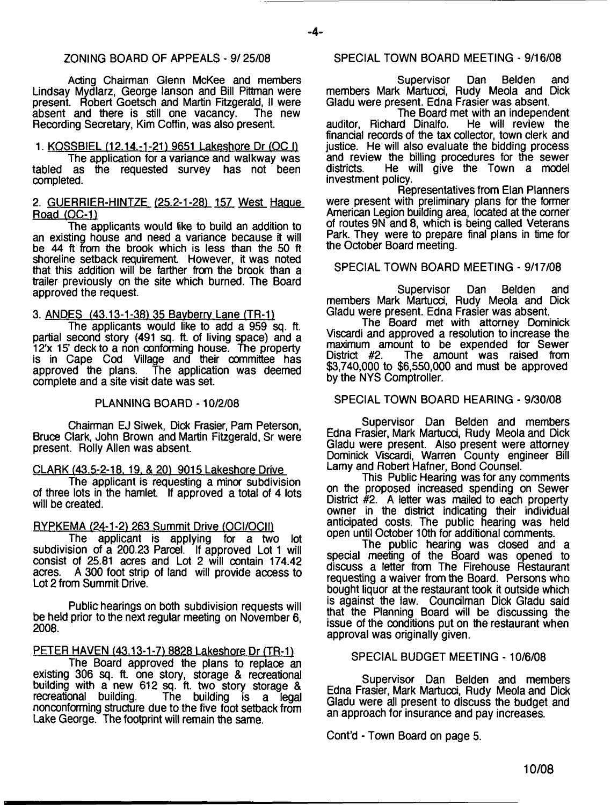### ZONING BOARD OF APPEALS - 9/25/08

Acting Chairman Glenn McKee and members Lindsay Mydlarz, George lanson and Bill Pittman were present. Robert Goetsch and Martin Fitzgerald, II were absent and there is still one vacancy. The new Recording Secretary, Kim Coffin, was also present.

1. KOSSBIEL (12.14.-1-21) 9651 Lakeshore Dr (OC I) The application for a variance and walkway was

tabled as the requested survey has not been completed.

### 2. GUERRIER-HINTZE (25.2-1-281 157 West Hague Road (OC-1)

The applicants would like to build an addition to an existing house and need a variance because it will be 44 ft from the brook which is less than the 50 ft shoreline setback requirement However, it was noted that this addition will be farther from the brook than a trailer previously on the site which burned. The Board approved the request.

3. ANDES {43.13-1-381 35 Bavberrv Lane (TR-11

The applicants would like to add a 959 sq. ft. partial second story (491 sq. ft. of living space) and a 12'x 15' deck to a non conforming house. The property is in Cape Cod Village and their committee has approved the plans. The application was deemed complete and a site visit date was set.

### PLANNING BOARD -10/2/08

Chairman EJ Siwek, Dick Frasier, Pam Peterson, Bruce Clark, John Brown and Martin Fitzgerald, Sr were present. Roily Allen was absent.

### CLARK (43.5-2-18. 19. & 201 9015 Lakeshore Drive

The applicant is requesting a minor subdivision of three lots in the hamlet. If approved a total of 4 lots will be created.

### RYPKEMA (24-1-2) 263 Summit Drive (OCI/OCII)

The applicant is applying for a two lot subdivision of a 200.23 Parcel. If approved Lot 1 will consist of 25.81 acres and Lot 2 will contain 174.42 A 300 foot strip of land will provide access to Lot 2 from Summit Drive.

Public hearings on both subdivision requests will be held prior to the next regular meeting on November 6, 2008.

### PETER HAVEN (43.13-1-7) 8828 Lakeshore Dr (TR-1)

The Board approved the plans to replace an existing 306 sq. ft. one story, storage & recreational building with a new 612 sq. ft. two story storage & recreational building. The building is a legal The building is a legal nonconforming structure due to the five foot setback from Lake George. The footprint will remain the same.

### SPECIAL TOWN BOARD MEETING - 9/16/08

Supervisor Dan Belden and members Mark Martucci, Rudy Meola and Dick Gladu were present. Edna Frasier was absent.

The Board met with an independent<br>d Dinalfo. He will review the auditor, Richard Dinalfo. financial records of the tax collector, town clerk and justice. He will also evaluate the bidding process and review the billing procedures for the sewer<br>districts. He will give the Town a model He will give the Town a model investment policy.

Representatives from Elan Planners were present with preliminary plans for the former American Legion building area, located at the corner of routes 9N and 8, which is being called Veterans Park. They were to prepare final plans in time for the October Board meeting.

### SPECIAL TOWN BOARD MEETING - 9/17/08

Supervisor Dan Belden and members Mark Martucci, Rudy Meola and Dick Gladu were present. Edna Frasier was absent.

The Board met with attorney Dominick Viscardi and approved a resolution to increase the maximum amount to be expended for Sewer<br>District #2. The amount was raised from The amount was raised from \$3,740,000 to \$6,550,000 and must be approved by the NYS Comptroller.

### SPECIAL TOWN BOARD HEARING - 9/30/08

Supervisor Dan Belden and members Edna Frasier, Mark Martucci, Rudy Meola and Dick Gladu were present. Also present were attorney Dominick Viscardi, Warren County engineer Bill Lamy and Robert Hafner, Bond Counsel.

This Public Hearing was for any comments on the proposed increased spending on Sewer District #2. A letter was mailed to each property owner in the district indicating their individual anticipated costs. The public hearing was held open until October 10th for additional comments.

The public hearing was closed and a special meeting of the Board was opened to discuss a letter from The Firehouse Restaurant requesting a waiver from the Board. Persons who bought liquor at the restaurant took it outside which is against the law. Councilman Dick Gladu said that the Planning Board will be discussing the issue of the conditions put on the restaurant when approval was originally given.

### SPECIAL BUDGET MEETING - 10/6/08

Supervisor Dan Belden and members Edna Frasier, Mark Martucci, Rudy Meola and Dick Gladu were all present to discuss the budget and an approach for insurance and pay increases.

Cont'd - Town Board on page 5.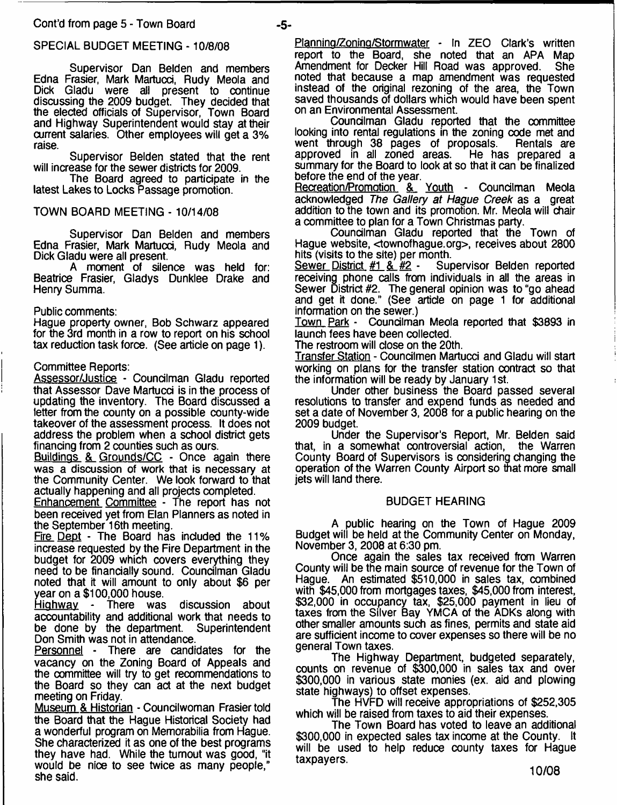### SPECIAL BUDGET MEETING -10/8/08

Supervisor Dan Belden and members Edna Frasier, Mark Martucci, Rudy Meola and Dick Gladu were all present to continue discussing the 2009 budget. They decided that the elected officials of Supervisor, Town Board and Highway Superintendent would stay at their current salaries. Other employees will get a 3% raise.

Supervisor Belden stated that the rent will increase for the sewer districts for 2009.

The Board agreed to participate in the latest Lakes to Locks Passage promotion.

### TOWN BOARD MEETING - 10/14/08

Supervisor Dan Belden and members Edna Frasier, Mark Martucci, Rudy Meola and Dick Gladu were all present.

A moment of silence was held for: Beatrice Frasier, Gladys Dunklee Drake and Henry Summa.

### Public comments:

Hague property owner, Bob Schwarz appeared for the 3rd month in a row to report on his school tax reduction task force. (See article on page 1).

### Committee Reports:

Assessor/Justice - Councilman Gladu reported that Assessor Dave Martucci is in the process of updating the inventory. The Board discussed a letter from the county on a possible county-wide takeover of the assessment process. It does not address the problem when a school district gets financing from 2 counties such as ours.

Buildings & Grounds/CC - Once again there was a discussion of work that is necessary at the Community Center. We look forward to that actually happening and all projects completed.

Enhancement Committee - The report has not been received yet from Elan Planners as noted in the September 16th meeting.

Fire Dept - The Board has included the 11% increase requested by the Fire Department in the budget for 2009 which covers everything they need to be financially sound. Councilman Gladu noted that it will amount to only about \$6 per year on a \$100,000 house.

Highway - There was discussion about accountability and additional work that needs to<br>be done by the department. Superintendent be done by the department. Don Smith was not in attendance.

Personnel - There are candidates for the vacancy on the Zoning Board of Appeals and the committee will try to get recommendations to the Board so they can act at the next budget meeting on Friday.

Museum & Historian - Councilwoman Frasier told the Board that the Hague Historical Society had a wonderful program on Memorabilia from Hague. She characterized it as one of the best programs they have had. While the turnout was good, "it would be nice to see twice as many people," she said.

Planning/Zoning/Stormwater - In ZEO Clark's written report to the Board, she noted that an APA Map<br>Amendment for Decker Hill Road was approved. She Amendment for Decker Hill Road was approved. noted that because a map amendment was requested instead of the original rezoning of the area, the Town saved thousands of dollars which would have been spent on an Environmental Assessment.

Councilman Gladu reported that the committee looking into rental regulations in the zoning code met and went through 38 pages of proposals. Rentals are<br>approved in all zoned areas. He has prepared a approved in all zoned areas. summary for the Board to look at so that it can be finalized before the end of the year.

Recreation/Promotion & Youth - Councilman Meola acknowledged *The Gallery at Hague Creek* as a great addition to the town and its promotion. Mr. Meola will chair a committee to plan for a Town Christmas party.

Councilman Gladu reported that the Town of Hague website, <townofhague.org>, receives about 2800 hits (visits to the site) per month.<br>Sewer District #1 & #2 - Supervisor Belden reported

Sewer District  $#1$  &  $#2$  receiving phone calls from individuals in all the areas in Sewer District #2. The general opinion was to "go ahead and get it done." (See article on page 1 for additional information on the sewer.)

Town Park - Councilman Meola reported that \$3893 in launch fees have been collected.

The restroom will dose on the 20th.

Transfer Station - Councilmen Martucci and Gladu will start working on plans for the transfer station contract so that the information will be ready by January 1st.

Under other business the Board passed several resolutions to transfer and expend funds as needed and set a date of November 3, 2008 for a public hearing on the 2009 budget.

Under the Supervisor's Report, Mr. Belden said that, in a somewhat controversial action, the Warren County Board of Supervisors is considering changing the operation of the Warren County Airport so that more small jets will land there.

### BUDGET HEARING

A public hearing on the Town of Hague 2009 Budget will be held at the Community Center on Monday, November 3, 2008 at 6:30 pm.

Once again the sales tax received from Warren County will be the main source of revenue for the Town of Hague. An estimated \$510,000 in sales tax, combined with \$45,000 from mortgages taxes, \$45,000 from interest, \$32,000 in occupancy tax, \$25,000 payment in lieu of taxes from the Silver Bay YMCA of the ADKs along with other smaller amounts such as fines, permits and state aid are sufficient income to cover expenses so there will be no general Town taxes.

The Highway Department, budgeted separately, counts on revenue of \$300,000 in sales tax and over \$300,000 in various state monies (ex. aid and plowing state highways) to offset expenses.

The HVFD will receive appropriations of \$252,305 which will be raised from taxes to aid their expenses.

The Town Board has voted to leave an additional \$300,000 in expected sales tax income at the County. It will be used to help reduce county taxes for Hague taxpayers.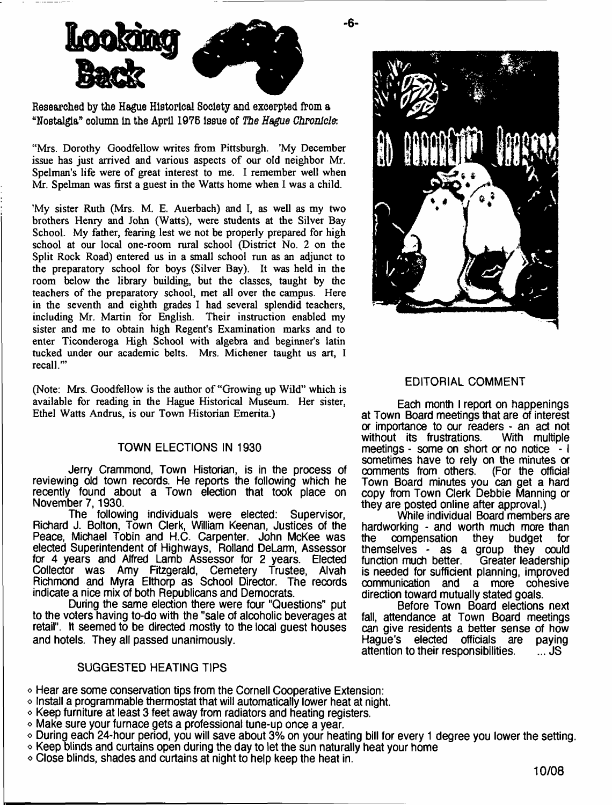

**Researched by the Hague Historical Society and excerpted from a "Nostalgia" column in the April 1976 issue of** *The Hague Chronicle.*

"Mrs. Dorothy Goodfellow writes from Pittsburgh. 'My December issue has just arrived and various aspects of our old neighbor Mr. Spelman's life were of great interest to me. I remember well when Mr. Spelman was first a guest in the Watts home when I was a child.

'My sister Ruth (Mrs. M. E. Auerbach) and I, as well as my two brothers Henry and John (Watts), were students at the Silver Bay School. My father, fearing lest we not be properly prepared for high school at our local one-room rural school (District No. 2 on the Split Rock Road) entered us in a small school run as an adjunct to the preparatory school for boys (Silver Bay). It was held in the room below the library building, but the classes, taught by the teachers of the preparatory school, met all over the campus. Here in the seventh and eighth grades I had several splendid teachers, including Mr. Martin for English. Their instruction enabled my sister and me to obtain high Regent's Examination marks and to enter Ticonderoga High School with algebra and beginner's latin tucked under our academic belts. Mrs. Michener taught us art, I recall.'"

(Note: Mrs. Goodfellow is the author of "Growing up Wild" which is available for reading in the Hague Historical Museum. Her sister, Ethel Watts Andrus, is our Town Historian Emerita.)

### TOWN ELECTIONS IN 1930

Jerry Crammond, Town Historian, is in the process of reviewing old town records. He reports the following which he recently found about a Town election that took place on November 7,1930.

The following individuals were elected: Supervisor, Richard J. Bolton, Town Clerk, William Keenan, Justices of the Peace, Michael Tobin and H.C. Carpenter. John McKee was elected Superintendent of Highways, Rolland DeLarm, Assessor for 4 years and Alfred Lamb Assessor for 2 years. Elected Collector was Amy Fitzgerald, Cemetery Trustee, Alvah Richmond and Myra Elthorp as School Director. The records indicate a nice mix of both Republicans and Democrats.

During the same election there were four "Questions" put to the voters having to-do with the "sale of alcoholic beverages at retail". It seemed to be directed mostly to the local guest houses and hotels. They all passed unanimously.

### SUGGESTED HEATING TIPS

o Hear are some conservation tips from the Cornell Cooperative Extension:

- o Install a programmable thermostat that will automatically lower heat at night,
- $\circ$  Keep furniture at least 3 feet away from radiators and heating registers,
- o Make sure your furnace gets a professional tune-up once a year.
- o During each 24-hour period, you will save about 3% on your heating bill for every 1 degree you lower the setting,
- $\circ$  Keep blinds and curtains open during the day to let the sun naturally heat your home
- $\circ$  Close blinds, shades and curtains at night to help keep the heat in.



### EDITORIAL COMMENT

Each month I report on happenings at Town Board meetings that are of interest or importance to our readers - an act not without its frustrations. meetings - some on short or no notice - I sometimes have to rely on the minutes or comments from others. (For the official Town Board minutes you can get a hard copy from Town Clerk Debbie Manning or they are posted online after approval.)

While individual Board members are hardworking - and worth much more than<br>the compensation they budget for they budget themselves - as a group they could<br>function much better. Greater leadership function much better. is needed for sufficient planning, improved communication and a more cohesive direction toward mutually stated goals.

Before Town Board elections next fall, attendance at Town Board meetings can give residents a better sense of how<br>Haque's elected officials are paying Hague's elected officials are paying<br>attention to their responsibilities. ... JS attention to their responsibilities.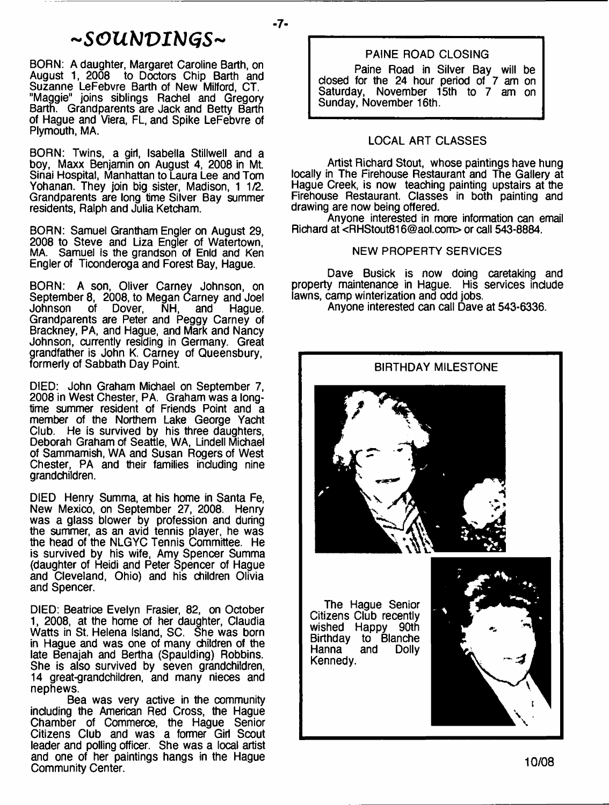# *~ S G U b l V I M G S ~*

- **7**-

BORN; A daughter, Margaret Caroline Barth, on August 1, 2008 to Doctors Chip Barth and Suzanne LeFebvre Barth of New Milford, CT. "Maggie" joins siblings Rachel and Gregory Barth. Grandparents are Jack and Betty Barth of Hague and Viera, FL, and Spike LeFebvre of Plymouth, MA.

BORN: Twins, a girl, Isabella Stillwell and a boy, Maxx Benjamin on August 4, 2008 in Mt. Sinai Hospital, Manhattan to Laura Lee and Tom Yohanan. They join big sister, Madison, 1 1/2. Grandparents are long time Silver Bay summer residents, Ralph and Julia Ketcham.

BORN: Samuel Grantham Engler on August 29, 2008 to Steve and Liza Engler of Watertown, MA. Samuel is the grandson of Enid and Ken Engler of Ticonderoga and Forest Bay, Hague.

BORN: A son, Oliver Carney Johnson, on *6z* September 8, 2008, to Megan Carney and Joel Johnson of Dover, NH, and Hague. Grandparents are Peter and Peggy Carney of Brackney, PA, and Hague, and Mark and Nancy Johnson, currently residing in Germany. Great grandfather is John K. Carney of Queensbury, formerly of Sabbath Day Point.

DIED: John Graham Michael on September 7, 2008 in West Chester, PA. Graham was a longtime summer resident of Friends Point and a member of the Northern Lake George Yacht Club. He is survived by his three daughters, Deborah Graham of Seattle, WA, Lindell Michael of Sammamish, WA and Susan Rogers of West Chester, PA and their families including nine grandchildren.

DIED Henry Summa, at his home in Santa Fe, New Mexico, on September 27, 2008. Henry was a glass blower by profession and during the summer, as an avid tennis player, he was the head of the NLGYC Tennis Committee. He is survived by his wife, Amy Spencer Summa (daughter of Heidi and Peter Spencer of Hague and Cleveland, Ohio) and his children Olivia and Spencer.

DIED: Beatrice Evelyn Frasier, 82, on October 1, 2008, at the home of her daughter, Claudia Watts in St. Helena Island, SC. She was born in Hague and was one of many children of the late Benajah and Bertha (Spaulding) Robbins. She is also survived by seven grandchildren, 14 great-grandchildren, and many nieces and nephews.

Bea was very active in the community including the American Red Cross, the Hague Chamber of Commerce, the Hague Senior Citizens Club and was a former Girl Scout leader and polling officer. She was a local artist and one of her paintings hangs in the Hague Community Center.

### PAINE ROAD CLOSING

Paine Road in Silver Bay will be closed for the 24 hour period of 7 am on Saturday, November 15th to 7 am on Sunday, November 16th.

### LOCAL ART CLASSES

Artist Richard Stout, whose paintings have hung locally in The Firehouse Restaurant and The Gallery at Hague Creek, is now teaching painting upstairs at the Firehouse Restaurant. Classes in both painting and drawing are now being offered.

Anyone interested in more information can email Richard at <[RHStout816@aol.com>](mailto:RHStout816@aol.com) or call 543-8884.

### NEW PROPERTY SERVICES

Dave Busick is now doing caretaking and property maintenance in Hague. His services include lawns, camp winterization and odd jobs.

Anyone interested can call Dave at 543-6336.

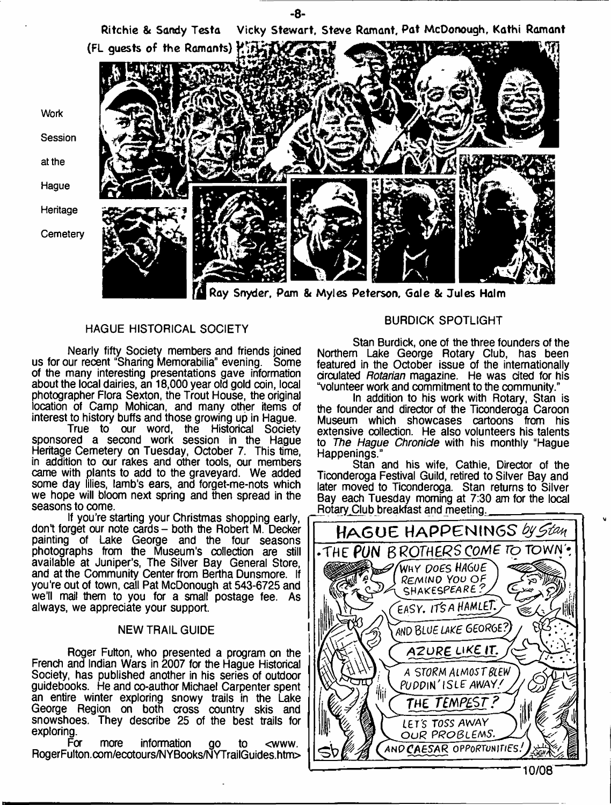

- **8**-

Ray Snyder, Pam & Myles Peterson, Gale 8t Jules Halm

### HAGUE HISTORICAL SOCIETY

Nearly fifty Society members and friends joined us for our recent "Sharing Memorabilia" evening. Some of the many interesting presentations gave information about the local dairies, an 18,000 year old gold coin, local photographer Flora Sexton, the Trout House, the original location of Camp Mohican, and many other items of interest to history buffs and those growing up in Hague.

True to our word, the Historical Society sponsored a second work session in the Hague Heritage Cemetery on Tuesday, October 7. This time, in addition to our rakes and other tools, our members came with plants to add to the graveyard. We added some day lilies, lamb's ears, and forget-me-nots which we hope will bloom next spring and then spread in the seasons to come.

If you're starting your Christmas shopping early, don't forget our note cards - both the Robert M. Decker painting of Lake George and the four seasons photographs from the Museum's collection are still available at Juniper's, The Silver Bay General Store, and at the Community Center from Bertha Dunsmore. If you're out of town, call Pat McDonough at 543-6725 and we'll mail them to you for a small postage fee. As always, we appreciate your support.

### NEW TRAIL GUIDE

Roger Fulton, who presented a program on the French and Indian Wars in 2007 for the Hague Historical Society, has published another in his series of outdoor guidebooks. He and co-author Michael Carpenter spent an entire winter exploring snowy trails in the Lake George Region on both cross country skis and snowshoes. They describe 25 of the best trails for exploring.<br>For

more information go to <www. RogerFulton.com/ecotours/NYBooks/NYTrailGuides.htrn>

### BURDICK SPOTLIGHT

Stan Burdick, one of the three founders of the Northern Lake George Rotary Club, has been featured in the October issue of the internationally circulated *Rotarian* magazine. He was cited for his "volunteer work and commitment to the community."

In addition to his work with Rotary, Stan is the founder and director of the Ticonderoga Caroon Museum which showcases cartoons from his extensive collection. He also volunteers his talents to *The Hague Chronicle* with his monthly "Hague Happenings."

Stan and his wife, Cathie, Director of the Ticonderoga Festival Guild, retired to Silver Bay and later moved to Ticonderoga. Stan returns to Silver Bay each Tuesday morning at 7:30 am for the local Rotary Club breakfast and meeting.

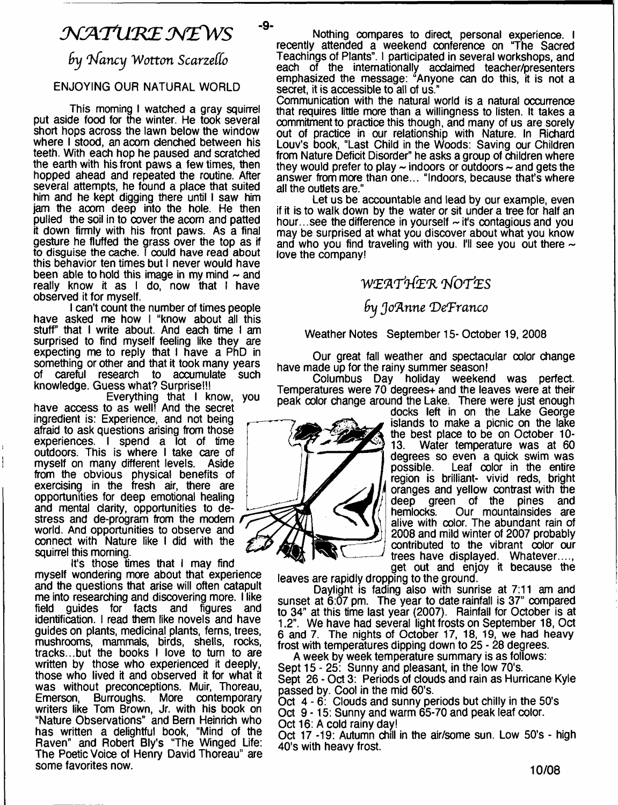# $\mathcal N$  A T URE NEW S

**-9-**

*by l/ancy Wotton Scarzeffo*

### ENJOYING OUR NATURAL WORLD

This morning I watched a gray squirrel put aside food for the winter. He took several short hops across the lawn below the window where I stood, an acom denched between his teeth. With each hop he paused and scratched the earth with his front paws a few times, then hopped ahead and repeated the routine. After several attempts, he found a place that suited him and he kept digging there until I saw him jam the aoom deep into the hole. He then pulled the soil in to cover the acorn and patted it down firmly with his front paws. As a final gesture he fluffed the grass over the top as if to disguise the cache. I could have read about this behavior ten times but I never would have been able to hold this image in my mind  $\sim$  and really know it as I do, now that I have observed it for myself.

I can't count the number of times people have asked me how I "know about all this stuff that I write about. And each time I am surprised to find myself feeling like they are expecting me to reply that I have a PhD in something or other and that it took many years of careful research to accumulate such knowledge. Guess what? Surprise!!!

Everything that I know, you have access to as well! And the secret ingredient is: Experience, and not being afraid to ask questions arising from those experiences. I spend a lot of time outdoors. This is where I take care of myself on many different levels. Aside from the obvious physical benefits of exercising in the fresh air, there are opportunities for deep emotional healing and mental clarity, opportunities to destress and de-program from the modem world. And opportunities to observe and connect with Nature like I did with the squirrel this morning.

It's those times that I may find myself wondering more about that experience and the questions that arise will often catapult me into researching and discovering more. I like field guides for facts and figures and identification. I read them like novels and have guides on plants, medicinal plants, ferns, trees, mushrooms, mammals, birds, shells, rocks, tracks...but the books I love to turn to are written by those who experienced it deeply, those who lived it and observed it for what it was without preconceptions. Muir, Thoreau, Emerson, Burroughs. More contemporary writers like Tom Brown, Jr. with his book on "Nature Observations" and Bern Heinrich who has written a delightful book, "Mind of the Raven" and Robert Bly's "The Winged Life: The Poetic Voice of Henry David Thoreau" are some favorites now.

Nothing compares to direct, personal experience. I recently attended a weekend conference on "The Sacred Teachings of Plants". I participated in several workshops, and each of the internationally acclaimed teacher/presenters emphasized the message: "Anyone can do this, it is not a secret, it is accessible to all of us."

Communication with the natural world is a natural occurrence that requires little more than a willingness to listen. It takes a commitment to practice this though, and many of us are sorely out of practice in our relationship with Nature. In Richard Louv's book, "Last Child in the Woods: Saving our Children from Nature Deficit Disorder" he asks a group of children where they would prefer to play  $\sim$  indoors or outdoors  $\sim$  and gets the answer from more than one... "Indoors, because that's where all the outlets are."

Let us be accountable and lead by our example, even if it is to walk down by the water or sit under a tree for half an hour...see the difference in yourself  $\sim$  it's contagious and you may be surprised at what you discover about what you know and who you find traveling with you. I'll see you out there  $\sim$ love the company!

## **W***(E'ATttZ'R TfOTteS*

### **fry** *Jo'Anne 'DeTranco*

Weather Notes September 15- October 19, 2008

Our great fall weather and spectacular color change have made up for the rainy summer season!

Columbus Day holiday weekend was perfect. Temperatures were 70 degrees and the leaves were at their peak color change around the Lake. There were just enough

docks left in on the Lake George islands to make a picnic on the lake the best place to be on October 10-<br>13. Water temperature was at 60 Water temperature was at 60 degrees so even a quick swim was possible. Leaf color in the entire region is brilliant- vivid reds, bright oranges and yellow contrast with the<br>deep green of the pines and deep green of the pines<br>hemlocks. Our mountainsides Our mountainsides are alive with color. The abundant rain of 2008 and mild winter of 2007 probably contributed to the vibrant color our trees have displayed. Whatever...., get out and enjoy it because the

leaves are rapidly dropping to the ground.

Daylight is fading also with sunrise at 7:11 am and sunset at 6:07 pm. The year to date rainfall is 37" compared to 34" at this time last year (2007). Rainfall for October is at 1.2". We have had several light frosts on September 18, Oct 6 and 7. The nights of October 17, 18, 19, we had heavy frost with temperatures dipping down to 25 - 28 degrees.

A week by week temperature summary is as follows: Sept 15-25: Sunny and pleasant, in the low 70's. Sept 26 - Oct 3: Periods of clouds and rain as Hurricane Kyle passed by. Cool in the mid 60's.

Oct 4-6: Clouds and sunny periods but chilly in the 50's

Oct 9-15: Sunny and warm 65-70 and peak leaf color.

Oct 16: A cold rainy day!

Oct 17-19: Autumn chill in the air/some sun. Low 50's - high 40's with heavy frost.